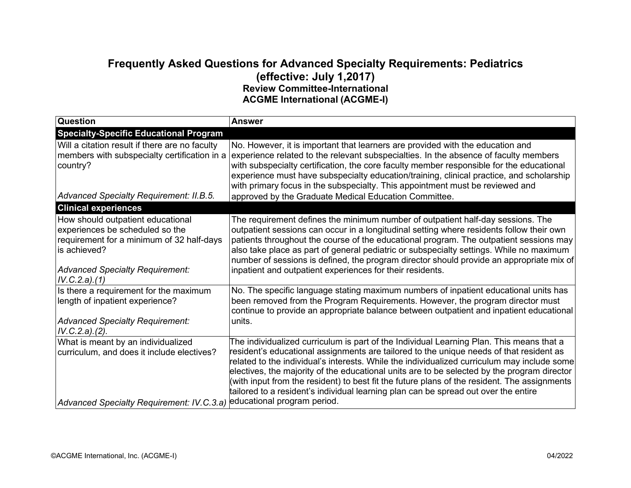## **Frequently Asked Questions for Advanced Specialty Requirements: Pediatrics (effective: July 1,2017) Review Committee-International ACGME International (ACGME-I)**

| <b>Question</b>                                                                                                                                                                              | <b>Answer</b>                                                                                                                                                                                                                                                                                                                                                                                                                                                                                                                                                            |
|----------------------------------------------------------------------------------------------------------------------------------------------------------------------------------------------|--------------------------------------------------------------------------------------------------------------------------------------------------------------------------------------------------------------------------------------------------------------------------------------------------------------------------------------------------------------------------------------------------------------------------------------------------------------------------------------------------------------------------------------------------------------------------|
| <b>Specialty-Specific Educational Program</b>                                                                                                                                                |                                                                                                                                                                                                                                                                                                                                                                                                                                                                                                                                                                          |
| Will a citation result if there are no faculty<br>members with subspecialty certification in a<br>country?<br>Advanced Specialty Requirement: II.B.5.                                        | No. However, it is important that learners are provided with the education and<br>experience related to the relevant subspecialties. In the absence of faculty members<br>with subspecialty certification, the core faculty member responsible for the educational<br>experience must have subspecialty education/training, clinical practice, and scholarship<br>with primary focus in the subspecialty. This appointment must be reviewed and<br>approved by the Graduate Medical Education Committee.                                                                 |
| <b>Clinical experiences</b>                                                                                                                                                                  |                                                                                                                                                                                                                                                                                                                                                                                                                                                                                                                                                                          |
| How should outpatient educational<br>experiences be scheduled so the<br>requirement for a minimum of 32 half-days<br>is achieved?<br><b>Advanced Specialty Requirement:</b><br>IV.C.2.a).(1) | The requirement defines the minimum number of outpatient half-day sessions. The<br>outpatient sessions can occur in a longitudinal setting where residents follow their own<br>patients throughout the course of the educational program. The outpatient sessions may<br>also take place as part of general pediatric or subspecialty settings. While no maximum<br>number of sessions is defined, the program director should provide an appropriate mix of<br>inpatient and outpatient experiences for their residents.                                                |
| Is there a requirement for the maximum<br>length of inpatient experience?<br><b>Advanced Specialty Requirement:</b><br>IV.C.2.a).(2).                                                        | No. The specific language stating maximum numbers of inpatient educational units has<br>been removed from the Program Requirements. However, the program director must<br>continue to provide an appropriate balance between outpatient and inpatient educational<br>units.                                                                                                                                                                                                                                                                                              |
| What is meant by an individualized<br>curriculum, and does it include electives?                                                                                                             | The individualized curriculum is part of the Individual Learning Plan. This means that a<br>resident's educational assignments are tailored to the unique needs of that resident as<br>related to the individual's interests. While the individualized curriculum may include some<br>electives, the majority of the educational units are to be selected by the program director<br>(with input from the resident) to best fit the future plans of the resident. The assignments<br>tailored to a resident's individual learning plan can be spread out over the entire |
| Advanced Specialty Requirement: IV.C.3.a) educational program period.                                                                                                                        |                                                                                                                                                                                                                                                                                                                                                                                                                                                                                                                                                                          |